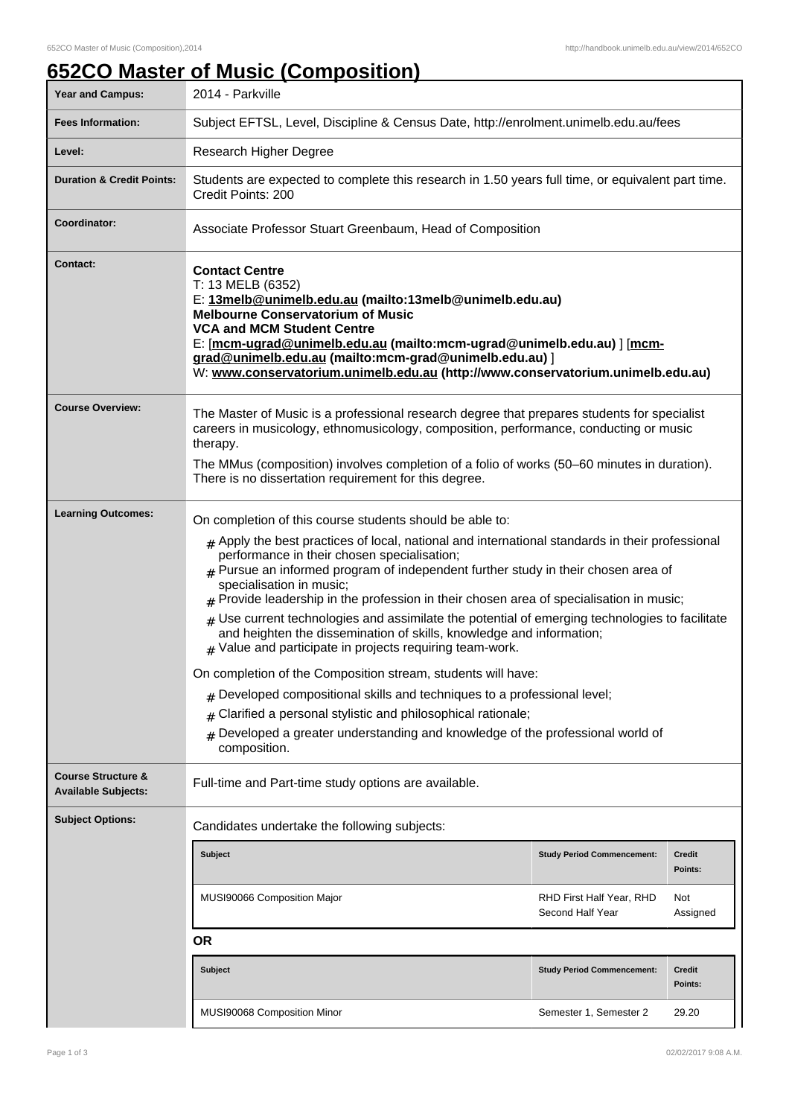## **652CO Master of Music (Composition)**

| Year and Campus:                                            | 2014 - Parkville                                                                                                                                                                                                                                                                                                                                                                                                                                                                                                                                                                                                                                                                                                                                                                                                                                                                                                                  |                                              |                          |
|-------------------------------------------------------------|-----------------------------------------------------------------------------------------------------------------------------------------------------------------------------------------------------------------------------------------------------------------------------------------------------------------------------------------------------------------------------------------------------------------------------------------------------------------------------------------------------------------------------------------------------------------------------------------------------------------------------------------------------------------------------------------------------------------------------------------------------------------------------------------------------------------------------------------------------------------------------------------------------------------------------------|----------------------------------------------|--------------------------|
| <b>Fees Information:</b>                                    | Subject EFTSL, Level, Discipline & Census Date, http://enrolment.unimelb.edu.au/fees                                                                                                                                                                                                                                                                                                                                                                                                                                                                                                                                                                                                                                                                                                                                                                                                                                              |                                              |                          |
| Level:                                                      | Research Higher Degree                                                                                                                                                                                                                                                                                                                                                                                                                                                                                                                                                                                                                                                                                                                                                                                                                                                                                                            |                                              |                          |
| <b>Duration &amp; Credit Points:</b>                        | Students are expected to complete this research in 1.50 years full time, or equivalent part time.<br>Credit Points: 200                                                                                                                                                                                                                                                                                                                                                                                                                                                                                                                                                                                                                                                                                                                                                                                                           |                                              |                          |
| Coordinator:                                                | Associate Professor Stuart Greenbaum, Head of Composition                                                                                                                                                                                                                                                                                                                                                                                                                                                                                                                                                                                                                                                                                                                                                                                                                                                                         |                                              |                          |
| <b>Contact:</b>                                             | <b>Contact Centre</b><br>T: 13 MELB (6352)<br>E: 13melb@unimelb.edu.au (mailto:13melb@unimelb.edu.au)<br><b>Melbourne Conservatorium of Music</b><br><b>VCA and MCM Student Centre</b><br>E: [mcm-ugrad@unimelb.edu.au (mailto:mcm-ugrad@unimelb.edu.au)] [mcm-<br>grad@unimelb.edu.au (mailto:mcm-grad@unimelb.edu.au)]<br>W: www.conservatorium.unimelb.edu.au (http://www.conservatorium.unimelb.edu.au)                                                                                                                                                                                                                                                                                                                                                                                                                                                                                                                       |                                              |                          |
| <b>Course Overview:</b>                                     | The Master of Music is a professional research degree that prepares students for specialist<br>careers in musicology, ethnomusicology, composition, performance, conducting or music<br>therapy.<br>The MMus (composition) involves completion of a folio of works (50–60 minutes in duration).<br>There is no dissertation requirement for this degree.                                                                                                                                                                                                                                                                                                                                                                                                                                                                                                                                                                          |                                              |                          |
| <b>Learning Outcomes:</b>                                   | On completion of this course students should be able to:                                                                                                                                                                                                                                                                                                                                                                                                                                                                                                                                                                                                                                                                                                                                                                                                                                                                          |                                              |                          |
|                                                             | $#$ Apply the best practices of local, national and international standards in their professional<br>performance in their chosen specialisation;<br>$*$ Pursue an informed program of independent further study in their chosen area of<br>specialisation in music;<br>$#$ Provide leadership in the profession in their chosen area of specialisation in music;<br>$#$ Use current technologies and assimilate the potential of emerging technologies to facilitate<br>and heighten the dissemination of skills, knowledge and information;<br>$#$ Value and participate in projects requiring team-work.<br>On completion of the Composition stream, students will have:<br>$#$ Developed compositional skills and techniques to a professional level;<br>Clarified a personal stylistic and philosophical rationale;<br>#<br>Developed a greater understanding and knowledge of the professional world of<br>#<br>composition. |                                              |                          |
| <b>Course Structure &amp;</b><br><b>Available Subjects:</b> | Full-time and Part-time study options are available.                                                                                                                                                                                                                                                                                                                                                                                                                                                                                                                                                                                                                                                                                                                                                                                                                                                                              |                                              |                          |
| <b>Subject Options:</b>                                     | Candidates undertake the following subjects:                                                                                                                                                                                                                                                                                                                                                                                                                                                                                                                                                                                                                                                                                                                                                                                                                                                                                      |                                              |                          |
|                                                             | <b>Subject</b>                                                                                                                                                                                                                                                                                                                                                                                                                                                                                                                                                                                                                                                                                                                                                                                                                                                                                                                    | <b>Study Period Commencement:</b>            | <b>Credit</b><br>Points: |
|                                                             | MUSI90066 Composition Major                                                                                                                                                                                                                                                                                                                                                                                                                                                                                                                                                                                                                                                                                                                                                                                                                                                                                                       | RHD First Half Year, RHD<br>Second Half Year | Not<br>Assigned          |
|                                                             | <b>OR</b>                                                                                                                                                                                                                                                                                                                                                                                                                                                                                                                                                                                                                                                                                                                                                                                                                                                                                                                         |                                              |                          |
|                                                             | <b>Subject</b>                                                                                                                                                                                                                                                                                                                                                                                                                                                                                                                                                                                                                                                                                                                                                                                                                                                                                                                    | <b>Study Period Commencement:</b>            | Credit<br>Points:        |
|                                                             | MUSI90068 Composition Minor                                                                                                                                                                                                                                                                                                                                                                                                                                                                                                                                                                                                                                                                                                                                                                                                                                                                                                       | Semester 1, Semester 2                       | 29.20                    |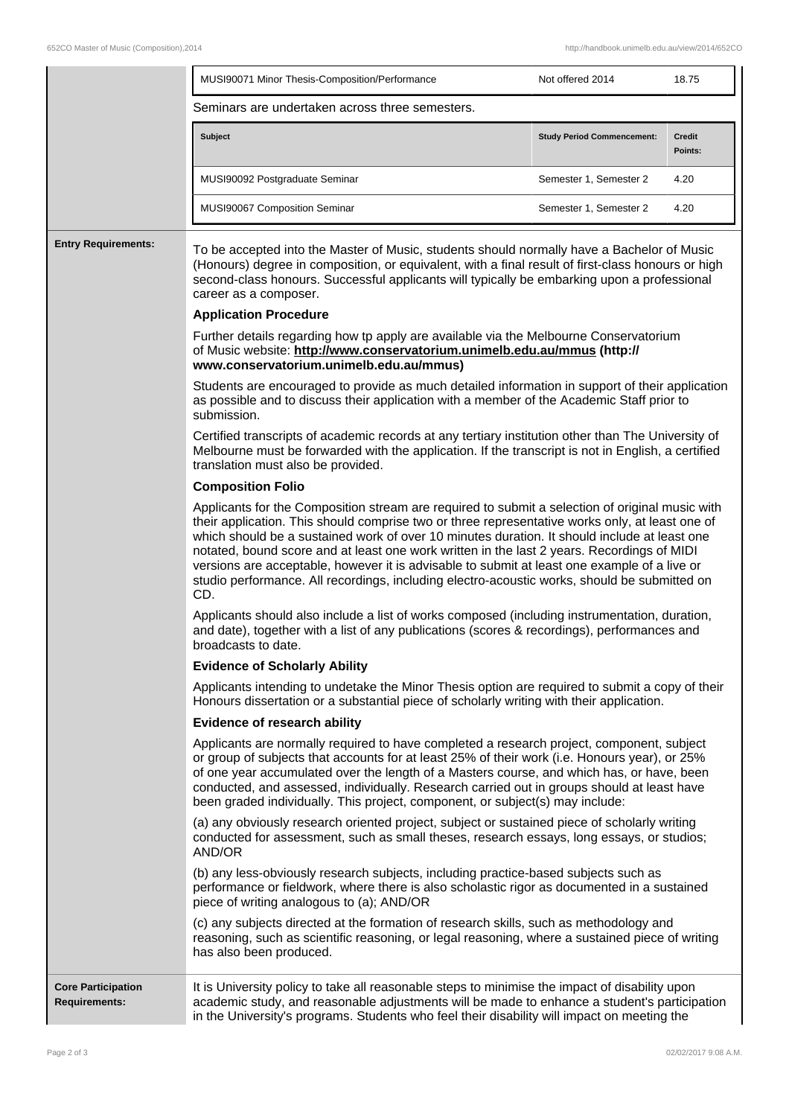|                                                   | MUSI90071 Minor Thesis-Composition/Performance                                                                                                                                                                                                                                                                                                                                                                                                                                                                                                                                                          | Not offered 2014                  | 18.75                    |  |  |
|---------------------------------------------------|---------------------------------------------------------------------------------------------------------------------------------------------------------------------------------------------------------------------------------------------------------------------------------------------------------------------------------------------------------------------------------------------------------------------------------------------------------------------------------------------------------------------------------------------------------------------------------------------------------|-----------------------------------|--------------------------|--|--|
|                                                   | Seminars are undertaken across three semesters.                                                                                                                                                                                                                                                                                                                                                                                                                                                                                                                                                         |                                   |                          |  |  |
|                                                   | <b>Subject</b>                                                                                                                                                                                                                                                                                                                                                                                                                                                                                                                                                                                          | <b>Study Period Commencement:</b> | <b>Credit</b><br>Points: |  |  |
|                                                   | MUSI90092 Postgraduate Seminar                                                                                                                                                                                                                                                                                                                                                                                                                                                                                                                                                                          | Semester 1, Semester 2            | 4.20                     |  |  |
|                                                   | MUSI90067 Composition Seminar                                                                                                                                                                                                                                                                                                                                                                                                                                                                                                                                                                           | Semester 1, Semester 2            | 4.20                     |  |  |
| <b>Entry Requirements:</b>                        | To be accepted into the Master of Music, students should normally have a Bachelor of Music<br>(Honours) degree in composition, or equivalent, with a final result of first-class honours or high<br>second-class honours. Successful applicants will typically be embarking upon a professional<br>career as a composer.                                                                                                                                                                                                                                                                                |                                   |                          |  |  |
|                                                   | <b>Application Procedure</b>                                                                                                                                                                                                                                                                                                                                                                                                                                                                                                                                                                            |                                   |                          |  |  |
|                                                   | Further details regarding how tp apply are available via the Melbourne Conservatorium<br>of Music website: http://www.conservatorium.unimelb.edu.au/mmus (http://<br>www.conservatorium.unimelb.edu.au/mmus)                                                                                                                                                                                                                                                                                                                                                                                            |                                   |                          |  |  |
|                                                   | Students are encouraged to provide as much detailed information in support of their application<br>as possible and to discuss their application with a member of the Academic Staff prior to<br>submission.                                                                                                                                                                                                                                                                                                                                                                                             |                                   |                          |  |  |
|                                                   | Certified transcripts of academic records at any tertiary institution other than The University of<br>Melbourne must be forwarded with the application. If the transcript is not in English, a certified<br>translation must also be provided.                                                                                                                                                                                                                                                                                                                                                          |                                   |                          |  |  |
|                                                   | <b>Composition Folio</b>                                                                                                                                                                                                                                                                                                                                                                                                                                                                                                                                                                                |                                   |                          |  |  |
|                                                   | Applicants for the Composition stream are required to submit a selection of original music with<br>their application. This should comprise two or three representative works only, at least one of<br>which should be a sustained work of over 10 minutes duration. It should include at least one<br>notated, bound score and at least one work written in the last 2 years. Recordings of MIDI<br>versions are acceptable, however it is advisable to submit at least one example of a live or<br>studio performance. All recordings, including electro-acoustic works, should be submitted on<br>CD. |                                   |                          |  |  |
|                                                   | Applicants should also include a list of works composed (including instrumentation, duration,<br>and date), together with a list of any publications (scores & recordings), performances and<br>broadcasts to date.                                                                                                                                                                                                                                                                                                                                                                                     |                                   |                          |  |  |
|                                                   | <b>Evidence of Scholarly Ability</b>                                                                                                                                                                                                                                                                                                                                                                                                                                                                                                                                                                    |                                   |                          |  |  |
|                                                   | Applicants intending to undetake the Minor Thesis option are required to submit a copy of their<br>Honours dissertation or a substantial piece of scholarly writing with their application.                                                                                                                                                                                                                                                                                                                                                                                                             |                                   |                          |  |  |
|                                                   | <b>Evidence of research ability</b>                                                                                                                                                                                                                                                                                                                                                                                                                                                                                                                                                                     |                                   |                          |  |  |
|                                                   | Applicants are normally required to have completed a research project, component, subject<br>or group of subjects that accounts for at least 25% of their work (i.e. Honours year), or 25%<br>of one year accumulated over the length of a Masters course, and which has, or have, been<br>conducted, and assessed, individually. Research carried out in groups should at least have<br>been graded individually. This project, component, or subject(s) may include:                                                                                                                                  |                                   |                          |  |  |
|                                                   | (a) any obviously research oriented project, subject or sustained piece of scholarly writing<br>conducted for assessment, such as small theses, research essays, long essays, or studios;<br>AND/OR                                                                                                                                                                                                                                                                                                                                                                                                     |                                   |                          |  |  |
|                                                   | (b) any less-obviously research subjects, including practice-based subjects such as<br>performance or fieldwork, where there is also scholastic rigor as documented in a sustained<br>piece of writing analogous to (a); AND/OR                                                                                                                                                                                                                                                                                                                                                                         |                                   |                          |  |  |
|                                                   | (c) any subjects directed at the formation of research skills, such as methodology and<br>reasoning, such as scientific reasoning, or legal reasoning, where a sustained piece of writing<br>has also been produced.                                                                                                                                                                                                                                                                                                                                                                                    |                                   |                          |  |  |
| <b>Core Participation</b><br><b>Requirements:</b> | It is University policy to take all reasonable steps to minimise the impact of disability upon<br>academic study, and reasonable adjustments will be made to enhance a student's participation<br>in the University's programs. Students who feel their disability will impact on meeting the                                                                                                                                                                                                                                                                                                           |                                   |                          |  |  |